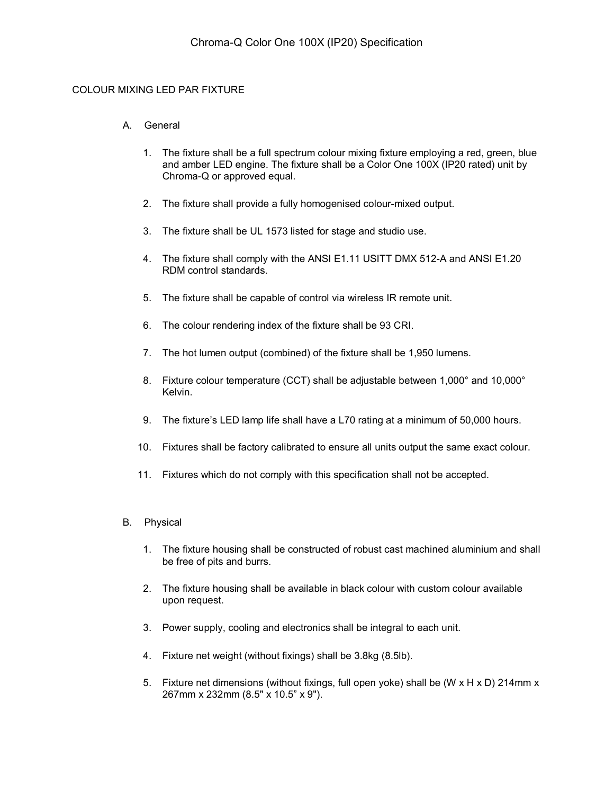## COLOUR MIXING LED PAR FIXTURE

### A. General

- 1. The fixture shall be a full spectrum colour mixing fixture employing a red, green, blue and amber LED engine. The fixture shall be a Color One 100X (IP20 rated) unit by Chroma-Q or approved equal.
- 2. The fixture shall provide a fully homogenised colour-mixed output.
- 3. The fixture shall be UL 1573 listed for stage and studio use.
- 4. The fixture shall comply with the ANSI E1.11 USITT DMX 512-A and ANSI E1.20 RDM control standards.
- 5. The fixture shall be capable of control via wireless IR remote unit.
- 6. The colour rendering index of the fixture shall be 93 CRI.
- 7. The hot lumen output (combined) of the fixture shall be 1,950 lumens.
- 8. Fixture colour temperature (CCT) shall be adjustable between 1,000° and 10,000° Kelvin.
- 9. The fixture's LED lamp life shall have a L70 rating at a minimum of 50,000 hours.
- 10. Fixtures shall be factory calibrated to ensure all units output the same exact colour.
- 11. Fixtures which do not comply with this specification shall not be accepted.

### B. Physical

- 1. The fixture housing shall be constructed of robust cast machined aluminium and shall be free of pits and burrs.
- 2. The fixture housing shall be available in black colour with custom colour available upon request.
- 3. Power supply, cooling and electronics shall be integral to each unit.
- 4. Fixture net weight (without fixings) shall be 3.8kg (8.5lb).
- 5. Fixture net dimensions (without fixings, full open yoke) shall be (W x H x D) 214mm x 267mm x 232mm (8.5" x 10.5" x 9").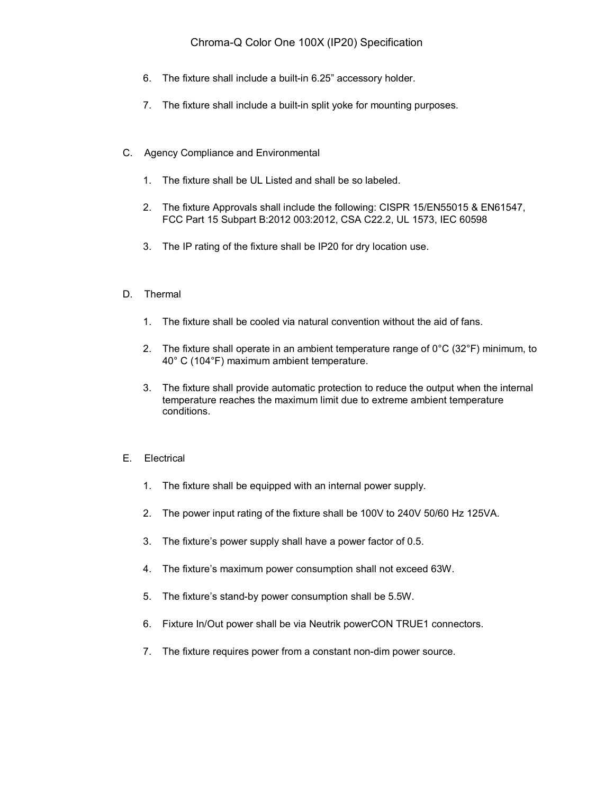# Chroma-Q Color One 100X (IP20) Specification

- 6. The fixture shall include a built-in 6.25" accessory holder.
- 7. The fixture shall include a built-in split yoke for mounting purposes.
- C. Agency Compliance and Environmental
	- 1. The fixture shall be UL Listed and shall be so labeled.
	- 2. The fixture Approvals shall include the following: CISPR 15/EN55015 & EN61547, FCC Part 15 Subpart B:2012 003:2012, CSA C22.2, UL 1573, IEC 60598
	- 3. The IP rating of the fixture shall be IP20 for dry location use.
- D. Thermal
	- 1. The fixture shall be cooled via natural convention without the aid of fans.
	- 2. The fixture shall operate in an ambient temperature range of  $0^{\circ}C$  (32 $^{\circ}F$ ) minimum, to 40° C (104°F) maximum ambient temperature.
	- 3. The fixture shall provide automatic protection to reduce the output when the internal temperature reaches the maximum limit due to extreme ambient temperature conditions.
- E. Electrical
	- 1. The fixture shall be equipped with an internal power supply.
	- 2. The power input rating of the fixture shall be 100V to 240V 50/60 Hz 125VA.
	- 3. The fixture's power supply shall have a power factor of 0.5.
	- 4. The fixture's maximum power consumption shall not exceed 63W.
	- 5. The fixture's stand-by power consumption shall be 5.5W.
	- 6. Fixture In/Out power shall be via Neutrik powerCON TRUE1 connectors.
	- 7. The fixture requires power from a constant non-dim power source.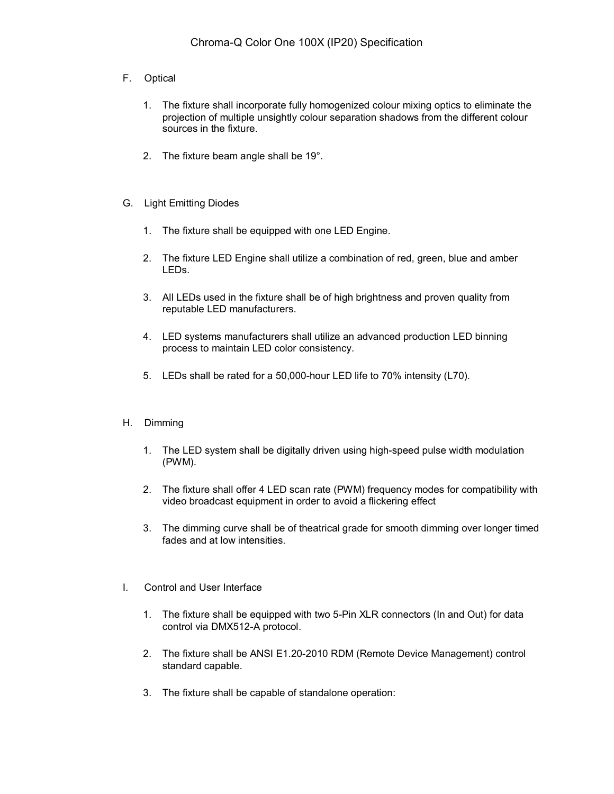- F. Optical
	- 1. The fixture shall incorporate fully homogenized colour mixing optics to eliminate the projection of multiple unsightly colour separation shadows from the different colour sources in the fixture.
	- 2. The fixture beam angle shall be 19°.
- G. Light Emitting Diodes
	- 1. The fixture shall be equipped with one LED Engine.
	- 2. The fixture LED Engine shall utilize a combination of red, green, blue and amber LEDs.
	- 3. All LEDs used in the fixture shall be of high brightness and proven quality from reputable LED manufacturers.
	- 4. LED systems manufacturers shall utilize an advanced production LED binning process to maintain LED color consistency.
	- 5. LEDs shall be rated for a 50,000-hour LED life to 70% intensity (L70).
- H. Dimming
	- 1. The LED system shall be digitally driven using high-speed pulse width modulation (PWM).
	- 2. The fixture shall offer 4 LED scan rate (PWM) frequency modes for compatibility with video broadcast equipment in order to avoid a flickering effect
	- 3. The dimming curve shall be of theatrical grade for smooth dimming over longer timed fades and at low intensities.
- I. Control and User Interface
	- 1. The fixture shall be equipped with two 5-Pin XLR connectors (In and Out) for data control via DMX512-A protocol.
	- 2. The fixture shall be ANSI E1.20-2010 RDM (Remote Device Management) control standard capable.
	- 3. The fixture shall be capable of standalone operation: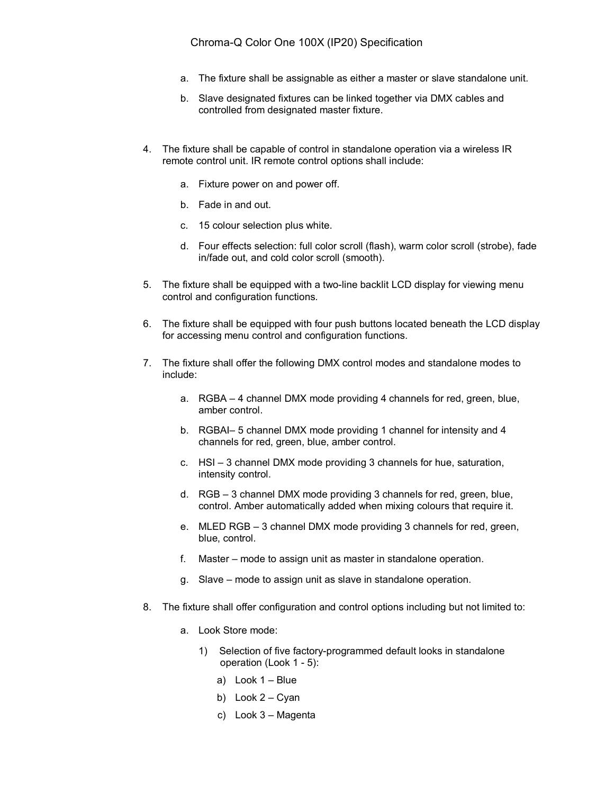- a. The fixture shall be assignable as either a master or slave standalone unit.
- b. Slave designated fixtures can be linked together via DMX cables and controlled from designated master fixture.
- 4. The fixture shall be capable of control in standalone operation via a wireless IR remote control unit. IR remote control options shall include:
	- a. Fixture power on and power off.
	- b. Fade in and out.
	- c. 15 colour selection plus white.
	- d. Four effects selection: full color scroll (flash), warm color scroll (strobe), fade in/fade out, and cold color scroll (smooth).
- 5. The fixture shall be equipped with a two-line backlit LCD display for viewing menu control and configuration functions.
- 6. The fixture shall be equipped with four push buttons located beneath the LCD display for accessing menu control and configuration functions.
- 7. The fixture shall offer the following DMX control modes and standalone modes to include:
	- a. RGBA 4 channel DMX mode providing 4 channels for red, green, blue, amber control.
	- b. RGBAI– 5 channel DMX mode providing 1 channel for intensity and 4 channels for red, green, blue, amber control.
	- c. HSI 3 channel DMX mode providing 3 channels for hue, saturation, intensity control.
	- d. RGB 3 channel DMX mode providing 3 channels for red, green, blue, control. Amber automatically added when mixing colours that require it.
	- e. MLED RGB 3 channel DMX mode providing 3 channels for red, green, blue, control.
	- f. Master mode to assign unit as master in standalone operation.
	- g. Slave mode to assign unit as slave in standalone operation.
- 8. The fixture shall offer configuration and control options including but not limited to:
	- a. Look Store mode:
		- 1) Selection of five factory-programmed default looks in standalone operation (Look 1 - 5):
			- a) Look 1 Blue
			- b) Look 2 Cyan
			- c) Look 3 Magenta